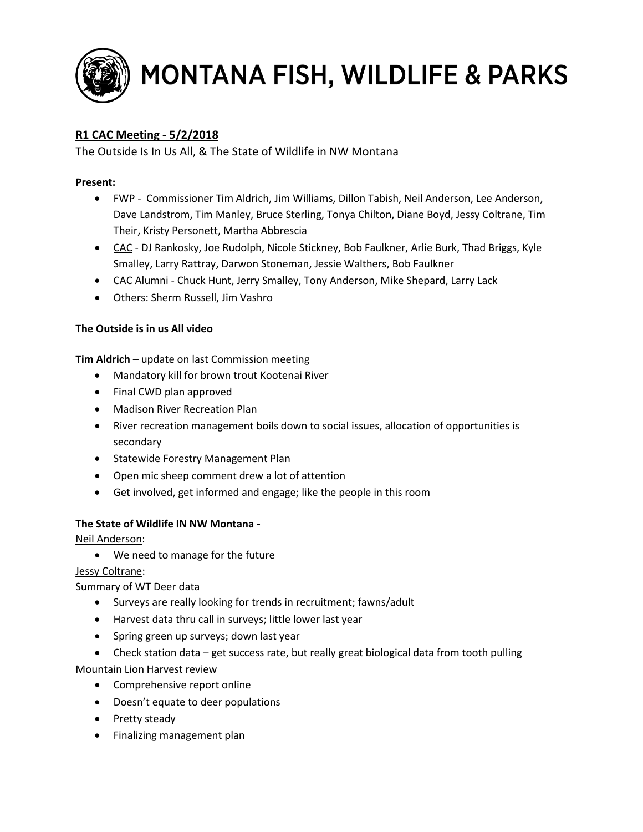

MONTANA FISH, WILDLIFE & PARKS

## **R1 CAC Meeting - 5/2/2018**

The Outside Is In Us All, & The State of Wildlife in NW Montana

## **Present:**

- FWP Commissioner Tim Aldrich, Jim Williams, Dillon Tabish, Neil Anderson, Lee Anderson, Dave Landstrom, Tim Manley, Bruce Sterling, Tonya Chilton, Diane Boyd, Jessy Coltrane, Tim Their, Kristy Personett, Martha Abbrescia
- CAC DJ Rankosky, Joe Rudolph, Nicole Stickney, Bob Faulkner, Arlie Burk, Thad Briggs, Kyle Smalley, Larry Rattray, Darwon Stoneman, Jessie Walthers, Bob Faulkner
- CAC Alumni Chuck Hunt, Jerry Smalley, Tony Anderson, Mike Shepard, Larry Lack
- Others: Sherm Russell, Jim Vashro

## **The Outside is in us All video**

**Tim Aldrich** – update on last Commission meeting

- Mandatory kill for brown trout Kootenai River
- Final CWD plan approved
- Madison River Recreation Plan
- River recreation management boils down to social issues, allocation of opportunities is secondary
- Statewide Forestry Management Plan
- Open mic sheep comment drew a lot of attention
- Get involved, get informed and engage; like the people in this room

## **The State of Wildlife IN NW Montana -**

Neil Anderson:

• We need to manage for the future

Jessy Coltrane:

Summary of WT Deer data

- Surveys are really looking for trends in recruitment; fawns/adult
- Harvest data thru call in surveys; little lower last year
- Spring green up surveys; down last year
- Check station data get success rate, but really great biological data from tooth pulling

Mountain Lion Harvest review

- Comprehensive report online
- Doesn't equate to deer populations
- Pretty steady
- Finalizing management plan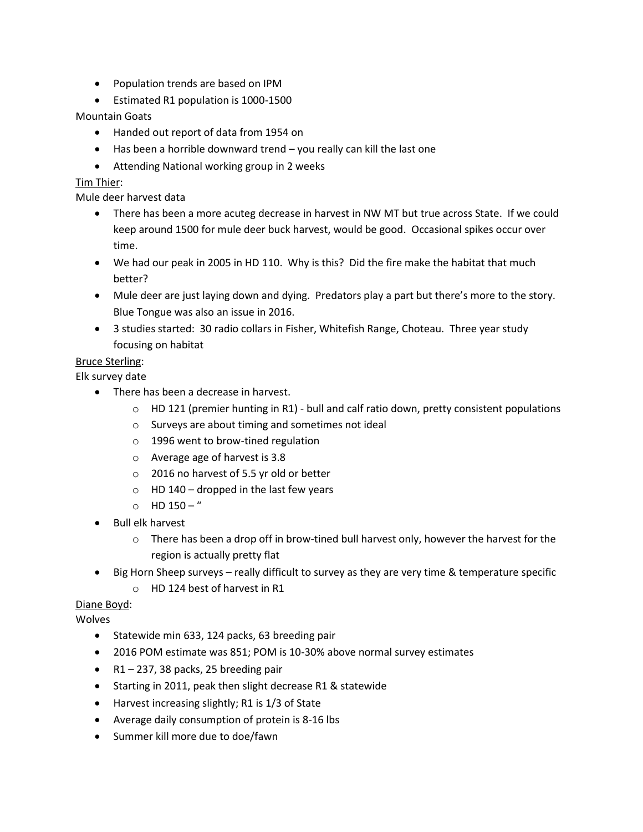- Population trends are based on IPM
- Estimated R1 population is 1000-1500

#### Mountain Goats

- Handed out report of data from 1954 on
- Has been a horrible downward trend you really can kill the last one
- Attending National working group in 2 weeks

## Tim Thier:

Mule deer harvest data

- There has been a more acuteg decrease in harvest in NW MT but true across State. If we could keep around 1500 for mule deer buck harvest, would be good. Occasional spikes occur over time.
- We had our peak in 2005 in HD 110. Why is this? Did the fire make the habitat that much better?
- Mule deer are just laying down and dying. Predators play a part but there's more to the story. Blue Tongue was also an issue in 2016.
- 3 studies started: 30 radio collars in Fisher, Whitefish Range, Choteau. Three year study focusing on habitat

# Bruce Sterling:

Elk survey date

- There has been a decrease in harvest.
	- o HD 121 (premier hunting in R1) bull and calf ratio down, pretty consistent populations
	- o Surveys are about timing and sometimes not ideal
	- o 1996 went to brow-tined regulation
	- o Average age of harvest is 3.8
	- o 2016 no harvest of 5.5 yr old or better
	- $\circ$  HD 140 dropped in the last few years
	- $O$  HD 150 "
- Bull elk harvest
	- $\circ$  There has been a drop off in brow-tined bull harvest only, however the harvest for the region is actually pretty flat
- Big Horn Sheep surveys really difficult to survey as they are very time & temperature specific o HD 124 best of harvest in R1

## Diane Boyd:

Wolves

- Statewide min 633, 124 packs, 63 breeding pair
- 2016 POM estimate was 851; POM is 10-30% above normal survey estimates
- R1 237, 38 packs, 25 breeding pair
- Starting in 2011, peak then slight decrease R1 & statewide
- Harvest increasing slightly; R1 is 1/3 of State
- Average daily consumption of protein is 8-16 lbs
- Summer kill more due to doe/fawn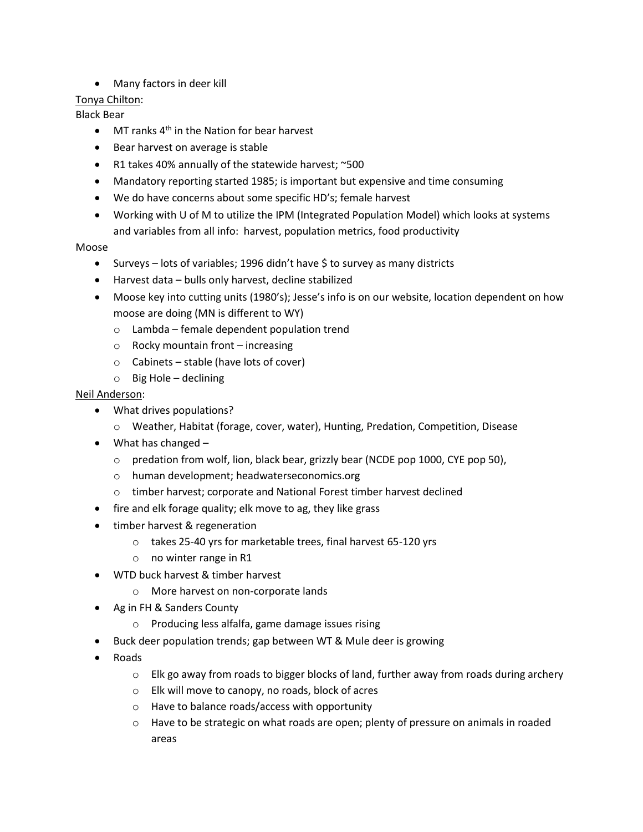• Many factors in deer kill

#### Tonya Chilton:

Black Bear

- MT ranks  $4<sup>th</sup>$  in the Nation for bear harvest
- Bear harvest on average is stable
- R1 takes 40% annually of the statewide harvest; ~500
- Mandatory reporting started 1985; is important but expensive and time consuming
- We do have concerns about some specific HD's; female harvest
- Working with U of M to utilize the IPM (Integrated Population Model) which looks at systems and variables from all info: harvest, population metrics, food productivity

#### Moose

- Surveys lots of variables; 1996 didn't have \$ to survey as many districts
- Harvest data bulls only harvest, decline stabilized
- Moose key into cutting units (1980's); Jesse's info is on our website, location dependent on how moose are doing (MN is different to WY)
	- o Lambda female dependent population trend
	- $\circ$  Rocky mountain front increasing
	- $\circ$  Cabinets stable (have lots of cover)
	- $\circ$  Big Hole declining

## Neil Anderson:

- What drives populations?
	- o Weather, Habitat (forage, cover, water), Hunting, Predation, Competition, Disease
- What has changed
	- o predation from wolf, lion, black bear, grizzly bear (NCDE pop 1000, CYE pop 50),
	- o human development; headwaterseconomics.org
	- o timber harvest; corporate and National Forest timber harvest declined
- fire and elk forage quality; elk move to ag, they like grass
- timber harvest & regeneration
	- o takes 25-40 yrs for marketable trees, final harvest 65-120 yrs
	- o no winter range in R1
- WTD buck harvest & timber harvest
	- o More harvest on non-corporate lands
- Ag in FH & Sanders County
	- o Producing less alfalfa, game damage issues rising
- Buck deer population trends; gap between WT & Mule deer is growing
- Roads
	- $\circ$  Elk go away from roads to bigger blocks of land, further away from roads during archery
	- o Elk will move to canopy, no roads, block of acres
	- o Have to balance roads/access with opportunity
	- o Have to be strategic on what roads are open; plenty of pressure on animals in roaded areas